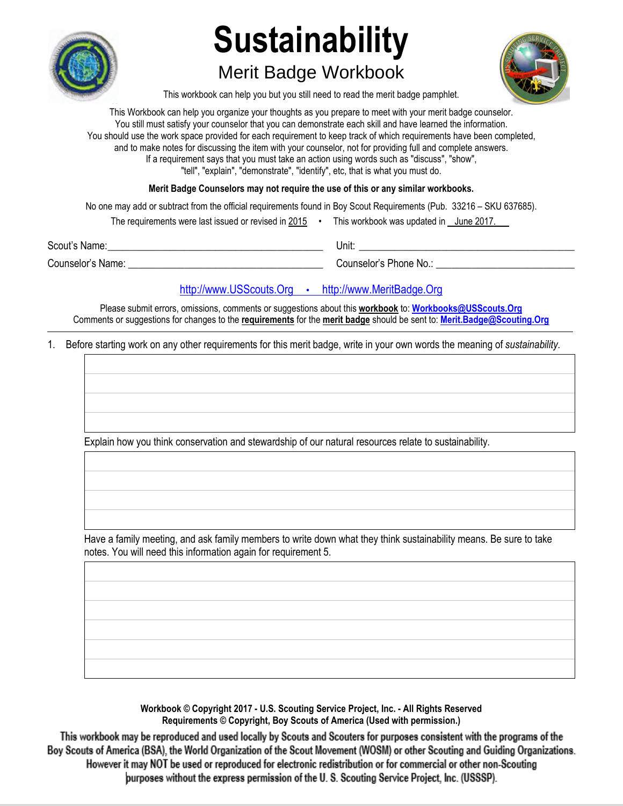

# **Sustainability**

## Merit Badge Workbook



This workbook can help you but you still need to read the merit badge pamphlet.

This Workbook can help you organize your thoughts as you prepare to meet with your merit badge counselor. You still must satisfy your counselor that you can demonstrate each skill and have learned the information. You should use the work space provided for each requirement to keep track of which requirements have been completed, and to make notes for discussing the item with your counselor, not for providing full and complete answers. If a requirement says that you must take an action using words such as "discuss", "show", "tell", "explain", "demonstrate", "identify", etc, that is what you must do.

**Merit Badge Counselors may not require the use of this or any similar workbooks.**

No one may add or subtract from the official requirements found in Boy Scout Requirements (Pub. 33216 – SKU 637685).

The requirements were last issued or revised in 2015 • This workbook was updated in June 2017.

Scout's Name: \_\_\_\_\_\_\_\_\_\_\_\_\_\_\_\_\_\_\_\_\_\_\_\_\_\_\_\_\_\_\_\_\_\_\_\_\_\_\_\_\_\_ Unit: \_\_\_\_\_\_\_\_\_\_\_\_\_\_\_\_\_\_\_\_\_\_\_\_\_\_\_\_\_\_\_\_\_\_\_\_\_\_\_\_\_\_

Counselor's Name: \_\_\_\_\_\_\_\_\_\_\_\_\_\_\_\_\_\_\_\_\_\_\_\_\_\_\_\_\_\_\_\_\_\_\_\_\_\_ Counselor's Phone No.: \_\_\_\_\_\_\_\_\_\_\_\_\_\_\_\_\_\_\_\_\_\_\_\_\_\_\_

## [http://www.USScouts.Org](http://www.usscouts.org/) • [http://www.MeritBadge.Org](http://www.meritbadge.org/)

Please submit errors, omissions, comments or suggestions about this **workbook** to: **[Workbooks@USScouts.Org](mailto:Workbooks@usscouts.org?subject=Merit%20Badge%20Workbooks)** Comments or suggestions for changes to the **requirements** for the **merit badge** should be sent to: **[Merit.Badge@Scouting.Org](mailto:merit.badge@scouting.org)**

1. Before starting work on any other requirements for this merit badge, write in your own words the meaning of *sustainability*.

Explain how you think conservation and stewardship of our natural resources relate to sustainability.

 Have a family meeting, and ask family members to write down what they think sustainability means. Be sure to take notes. You will need this information again for requirement 5.

> **Workbook © Copyright 2017 - U.S. Scouting Service Project, Inc. - All Rights Reserved Requirements © Copyright, Boy Scouts of America (Used with permission.)**

This workbook may be reproduced and used locally by Scouts and Scouters for purposes consistent with the programs of the **the Boy Scouts of America (BSA), the World Organization of the Scout Movement (WOSM) or other Scouting and Guiding Organizations. However it may NOT be used or reproduced for electronic redistribution or for commercial or other non-Scouting purposes without the express permission of the U. S. Scouting Service Project, Inc. (USSSP).**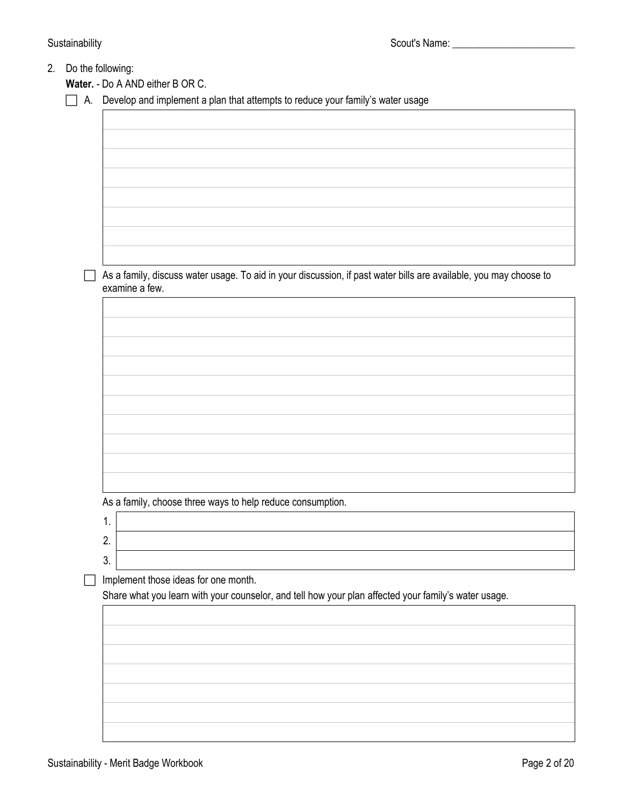## 2. Do the following:

**Water.** - Do A AND either B OR C.

 $\Box$  A. Develop and implement a plan that attempts to reduce your family's water usage

|    | As a family, discuss water usage. To aid in your discussion, if past water bills are available, you may choose to<br>examine a few. |
|----|-------------------------------------------------------------------------------------------------------------------------------------|
|    |                                                                                                                                     |
|    |                                                                                                                                     |
|    |                                                                                                                                     |
|    |                                                                                                                                     |
|    |                                                                                                                                     |
|    |                                                                                                                                     |
|    |                                                                                                                                     |
|    |                                                                                                                                     |
|    |                                                                                                                                     |
|    |                                                                                                                                     |
|    |                                                                                                                                     |
|    | As a family, choose three ways to help reduce consumption.                                                                          |
|    | 1.                                                                                                                                  |
|    | 2.                                                                                                                                  |
| 3. |                                                                                                                                     |
|    | Implement those ideas for one month.                                                                                                |
|    | Share what you learn with your counselor, and tell how your plan affected your family's water usage.                                |
|    |                                                                                                                                     |
|    |                                                                                                                                     |
|    |                                                                                                                                     |
|    |                                                                                                                                     |
|    |                                                                                                                                     |
|    |                                                                                                                                     |
|    |                                                                                                                                     |
|    |                                                                                                                                     |
|    |                                                                                                                                     |

 $\overline{\mathbf{1}}$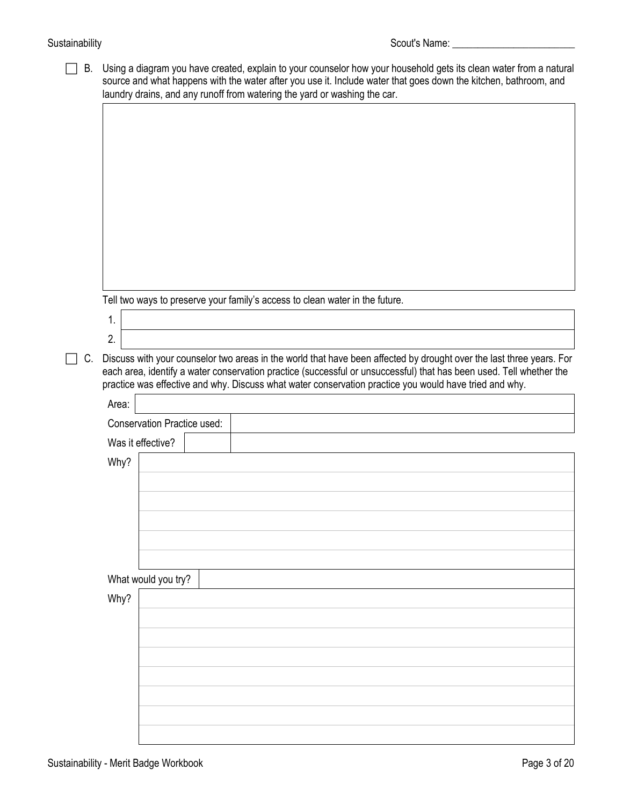$\Box$  B. Using a diagram you have created, explain to your counselor how your household gets its clean water from a natural source and what happens with the water after you use it. Include water that goes down the kitchen, bathroom, and laundry drains, and any runoff from watering the yard or washing the car.

Tell two ways to preserve your family's access to clean water in the future.

1. 2.

 $\Box$  C. Discuss with your counselor two areas in the world that have been affected by drought over the last three years. For each area, identify a water conservation practice (successful or unsuccessful) that has been used. Tell whether the practice was effective and why. Discuss what water conservation practice you would have tried and why.

| Area:                              |
|------------------------------------|
| <b>Conservation Practice used:</b> |
| Was it effective?                  |
| Why?                               |
|                                    |
|                                    |
|                                    |
|                                    |
|                                    |
| What would you try?                |
| Why?                               |
|                                    |
|                                    |
|                                    |
|                                    |
|                                    |
|                                    |
|                                    |

 $\overline{a}$ 

 $\Gamma$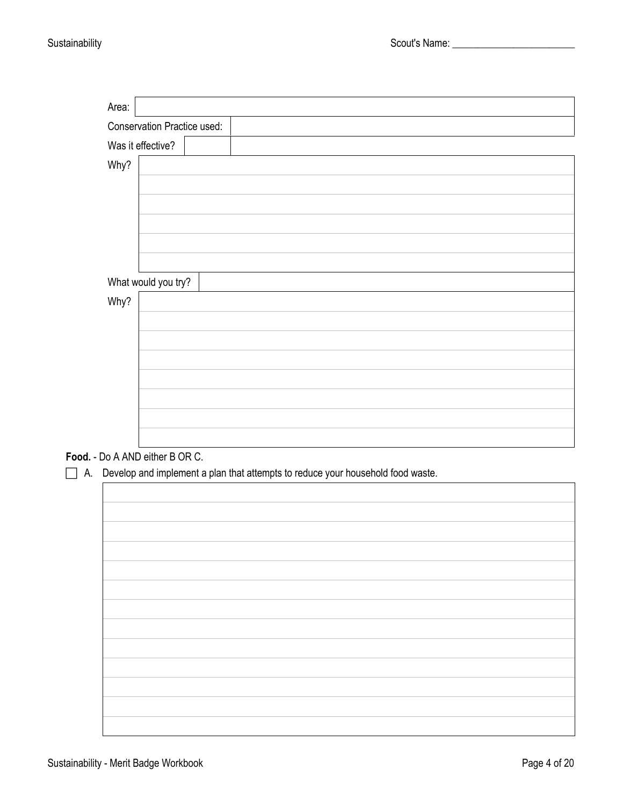| Area: |                             |
|-------|-----------------------------|
|       | Conservation Practice used: |
|       | Was it effective?           |
| Why?  |                             |
|       |                             |
|       |                             |
|       |                             |
|       |                             |
|       |                             |
|       | What would you try?         |
| Why?  |                             |
|       |                             |
|       |                             |
|       |                             |
|       |                             |
|       |                             |
|       |                             |
|       |                             |

**Food.** - Do A AND either B OR C.

A. Develop and implement a plan that attempts to reduce your household food waste.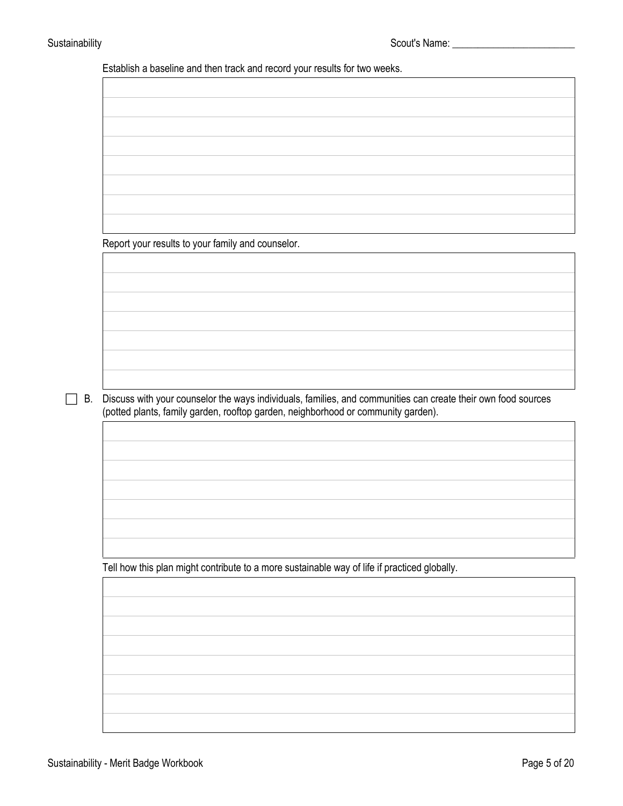Establish a baseline and then track and record your results for two weeks.

Report your results to your family and counselor.

B. Discuss with your counselor the ways individuals, families, and communities can create their own food sources (potted plants, family garden, rooftop garden, neighborhood or community garden).

Tell how this plan might contribute to a more sustainable way of life if practiced globally.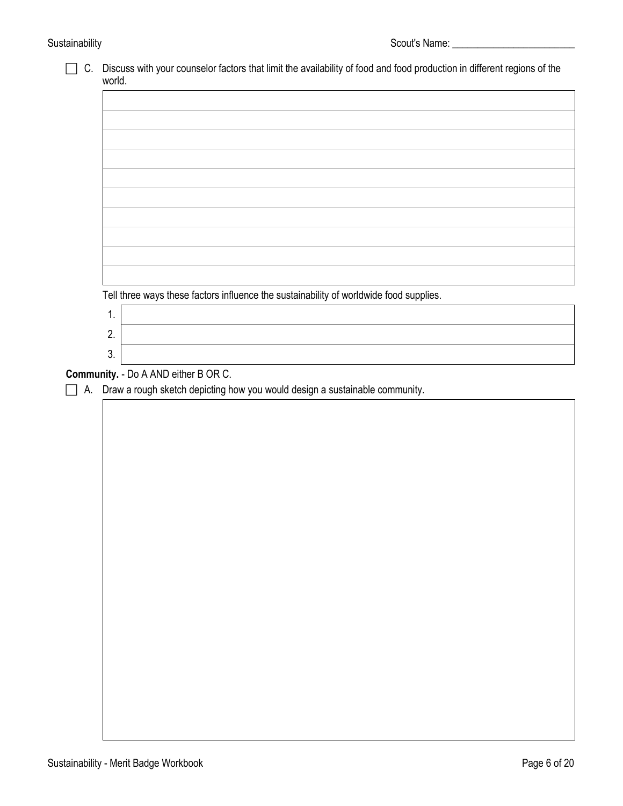□ C. Discuss with your counselor factors that limit the availability of food and food production in different regions of the world.

|        | $\mathbf{v}$ |                                                                                        |
|--------|--------------|----------------------------------------------------------------------------------------|
|        |              |                                                                                        |
|        |              |                                                                                        |
|        |              |                                                                                        |
|        |              |                                                                                        |
|        |              |                                                                                        |
|        |              |                                                                                        |
|        |              |                                                                                        |
|        |              |                                                                                        |
|        |              |                                                                                        |
|        |              |                                                                                        |
|        |              |                                                                                        |
|        |              |                                                                                        |
|        |              |                                                                                        |
|        |              |                                                                                        |
|        |              |                                                                                        |
|        |              | Tell three ways these factors influence the sustainability of worldwide food supplies. |
|        | 1.           |                                                                                        |
|        |              |                                                                                        |
|        | 2.           |                                                                                        |
|        | 3.           |                                                                                        |
|        |              |                                                                                        |
|        |              | Community. - Do A AND either B OR C.                                                   |
| $\Box$ |              | A. Draw a rough sketch depicting how you would design a sustainable community.         |
|        |              |                                                                                        |
|        |              |                                                                                        |
|        |              |                                                                                        |
|        |              |                                                                                        |
|        |              |                                                                                        |
|        |              |                                                                                        |
|        |              |                                                                                        |
|        |              |                                                                                        |
|        |              |                                                                                        |
|        |              |                                                                                        |
|        |              |                                                                                        |
|        |              |                                                                                        |
|        |              |                                                                                        |
|        |              |                                                                                        |
|        |              |                                                                                        |
|        |              |                                                                                        |
|        |              |                                                                                        |
|        |              |                                                                                        |
|        |              |                                                                                        |
|        |              |                                                                                        |
|        |              |                                                                                        |
|        |              |                                                                                        |
|        |              |                                                                                        |
|        |              |                                                                                        |
|        |              |                                                                                        |
|        |              |                                                                                        |
|        |              |                                                                                        |
|        |              |                                                                                        |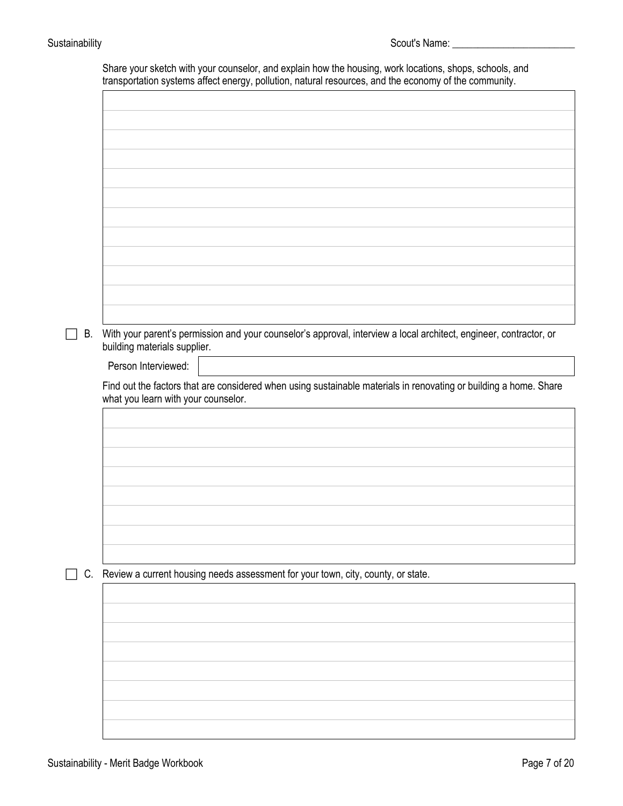Share your sketch with your counselor, and explain how the housing, work locations, shops, schools, and transportation systems affect energy, pollution, natural resources, and the economy of the community.

| building materials supplier.        | With your parent's permission and your counselor's approval, interview a local architect, engineer, contractor, or |  |
|-------------------------------------|--------------------------------------------------------------------------------------------------------------------|--|
| Person Interviewed:                 |                                                                                                                    |  |
| what you learn with your counselor. | Find out the factors that are considered when using sustainable materials in renovating or building a home. Share  |  |
|                                     |                                                                                                                    |  |
|                                     |                                                                                                                    |  |
|                                     |                                                                                                                    |  |
|                                     |                                                                                                                    |  |
|                                     |                                                                                                                    |  |
|                                     |                                                                                                                    |  |
|                                     |                                                                                                                    |  |
|                                     |                                                                                                                    |  |
|                                     |                                                                                                                    |  |
|                                     |                                                                                                                    |  |
|                                     | Review a current housing needs assessment for your town, city, county, or state.                                   |  |
|                                     |                                                                                                                    |  |
|                                     |                                                                                                                    |  |
|                                     |                                                                                                                    |  |
|                                     |                                                                                                                    |  |
|                                     |                                                                                                                    |  |
|                                     |                                                                                                                    |  |
|                                     |                                                                                                                    |  |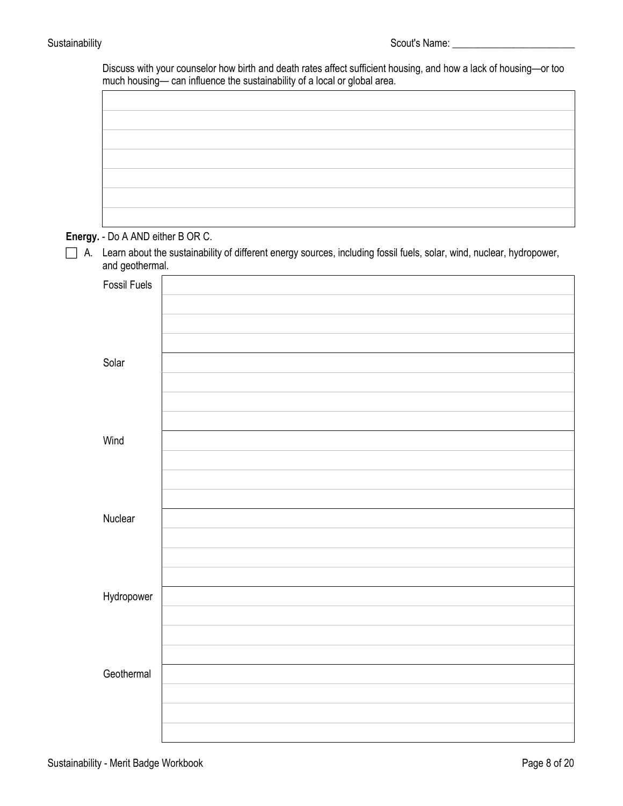Discuss with your counselor how birth and death rates affect sufficient housing, and how a lack of housing— or too much housing— can influence the sustainability of a local or global area.



**Energy.** - Do A AND either B OR C.

 A. Learn about the sustainability of different energy sources, including fossil fuels, solar, wind, nuclear, hydropower, and geothermal.

| Fossil Fuels |  |
|--------------|--|
|              |  |
|              |  |
|              |  |
| Solar        |  |
|              |  |
|              |  |
|              |  |
| Wind         |  |
|              |  |
|              |  |
|              |  |
| Nuclear      |  |
|              |  |
|              |  |
|              |  |
| Hydropower   |  |
|              |  |
|              |  |
|              |  |
| Geothermal   |  |
|              |  |
|              |  |
|              |  |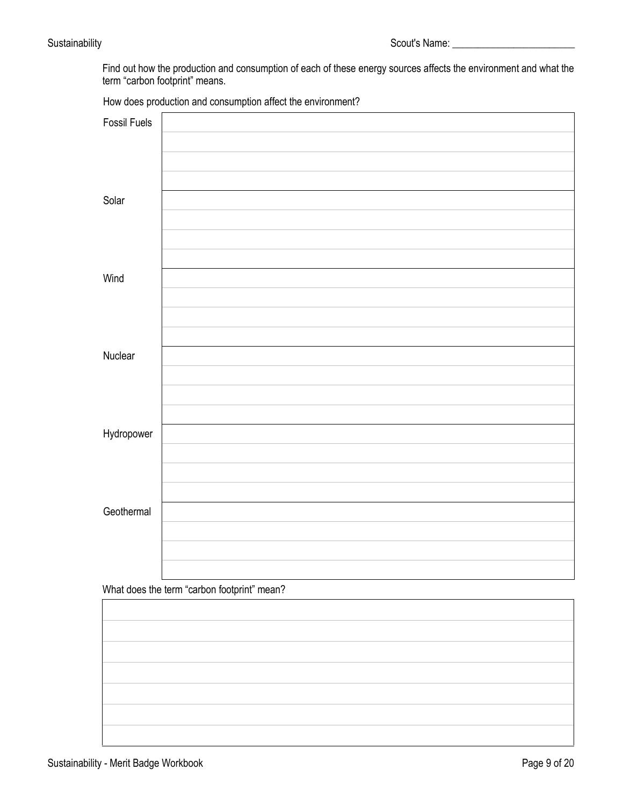Find out how the production and consumption of each of these energy sources affects the environment and what the term "carbon footprint" means.

How does production and consumption affect the environment?

| <b>Fossil Fuels</b> |                                             |
|---------------------|---------------------------------------------|
|                     |                                             |
|                     |                                             |
|                     |                                             |
| Solar               |                                             |
|                     |                                             |
|                     |                                             |
|                     |                                             |
| Wind                |                                             |
|                     |                                             |
|                     |                                             |
| Nuclear             |                                             |
|                     |                                             |
|                     |                                             |
|                     |                                             |
| Hydropower          |                                             |
|                     |                                             |
|                     |                                             |
|                     |                                             |
| Geothermal          |                                             |
|                     |                                             |
|                     |                                             |
|                     |                                             |
|                     | What does the term "carbon footprint" mean? |
|                     |                                             |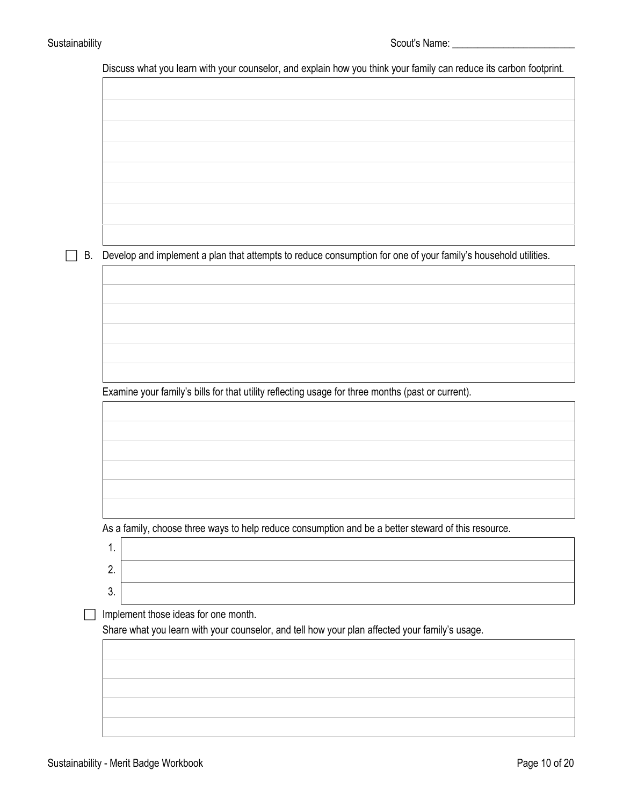Discuss what you learn with your counselor, and explain how you think your family can reduce its carbon footprint.

B. Develop and implement a plan that attempts to reduce consumption for one of your family's household utilities.

Examine your family's bills for that utility reflecting usage for three months (past or current).

As a family, choose three ways to help reduce consumption and be a better steward of this resource.

| . .           |  |
|---------------|--|
| ົ<br><u>.</u> |  |
| ົ<br>ບ.       |  |

 $\Box$  Implement those ideas for one month.

Share what you learn with your counselor, and tell how your plan affected your family's usage.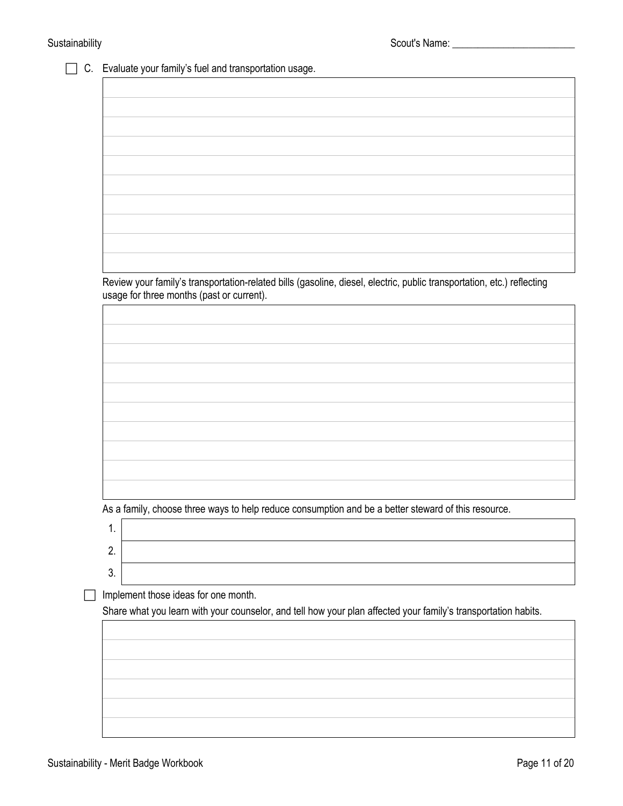$\Box$  C. Evaluate your family's fuel and transportation usage.

Review your family's transportation-related bills (gasoline, diesel, electric, public transportation, etc.) reflecting usage for three months (past or current).

As a family, choose three ways to help reduce consumption and be a better steward of this resource.

| <u>.</u> |  |
|----------|--|
|          |  |

 $\Box$  Implement those ideas for one month.

Share what you learn with your counselor, and tell how your plan affected your family's transportation habits.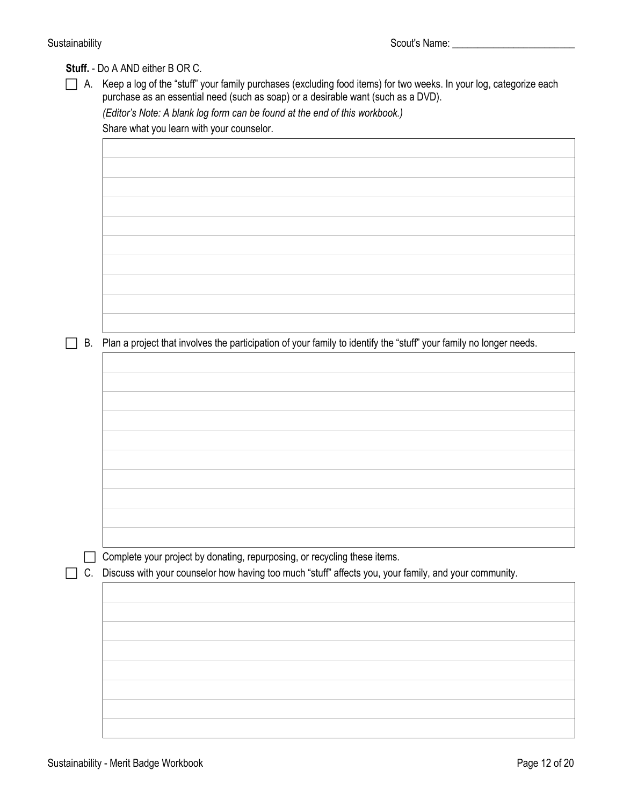**Stuff.** - Do A AND either B OR C.

| □ A. Keep a log of the "stuff" your family purchases (excluding food items) for two weeks. In your log, categorize each |
|-------------------------------------------------------------------------------------------------------------------------|
| purchase as an essential need (such as soap) or a desirable want (such as a DVD).                                       |

*(Editor's Note: A blank log form can be found at the end of this workbook.)*

Share what you learn with your counselor.

B. Plan a project that involves the participation of your family to identify the "stuff" your family no longer needs.

Complete your project by donating, repurposing, or recycling these items.

C. Discuss with your counselor how having too much "stuff" affects you, your family, and your community.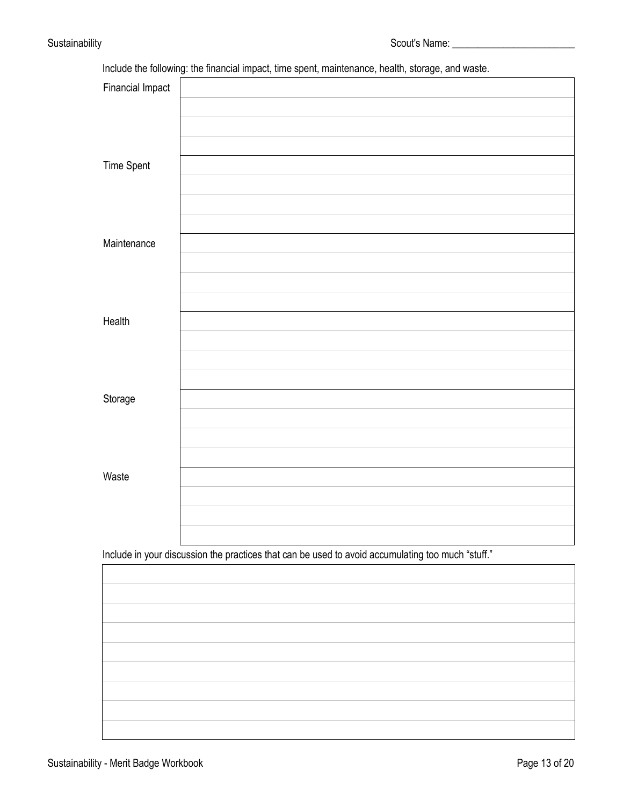|                   | Include the following: the financial impact, time spent, maintenance, health, storage, and waste. |
|-------------------|---------------------------------------------------------------------------------------------------|
| Financial Impact  |                                                                                                   |
|                   |                                                                                                   |
|                   |                                                                                                   |
|                   |                                                                                                   |
| <b>Time Spent</b> |                                                                                                   |
|                   |                                                                                                   |
|                   |                                                                                                   |
|                   |                                                                                                   |
| Maintenance       |                                                                                                   |
|                   |                                                                                                   |
|                   |                                                                                                   |
|                   |                                                                                                   |
| Health            |                                                                                                   |
|                   |                                                                                                   |
|                   |                                                                                                   |
|                   |                                                                                                   |
| Storage           |                                                                                                   |
|                   |                                                                                                   |
|                   |                                                                                                   |
|                   |                                                                                                   |
| Waste             |                                                                                                   |
|                   |                                                                                                   |
|                   |                                                                                                   |
|                   |                                                                                                   |
|                   | Include in your discussion the practices that can be used to avoid accumulating too much "stuff." |
|                   |                                                                                                   |
|                   |                                                                                                   |
|                   |                                                                                                   |
|                   |                                                                                                   |
|                   |                                                                                                   |
|                   |                                                                                                   |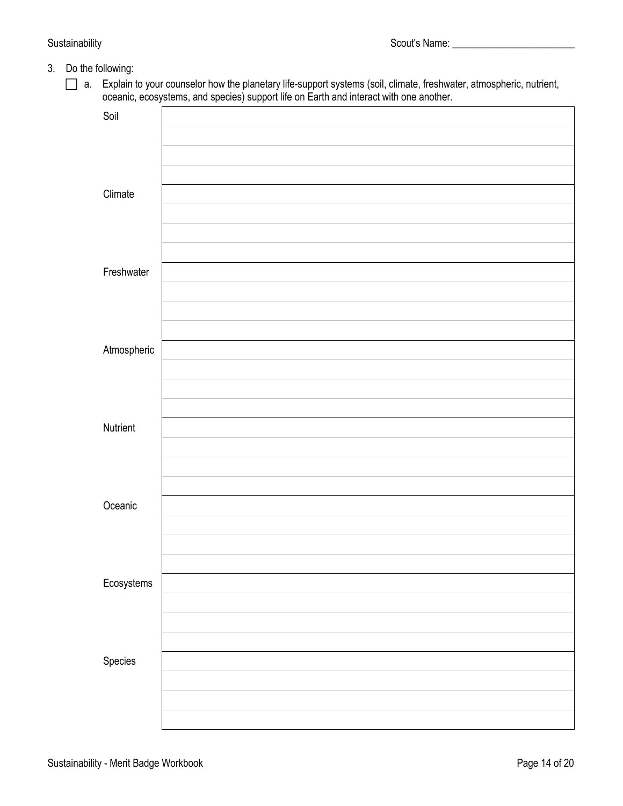- 3. Do the following:
	- a. Explain to your counselor how the planetary life-support systems (soil, climate, freshwater, atmospheric, nutrient, oceanic, ecosystems, and species) support life on Earth and interact with one another.

| Soil        |  |
|-------------|--|
|             |  |
|             |  |
|             |  |
| $C$ limate  |  |
|             |  |
|             |  |
| Freshwater  |  |
|             |  |
|             |  |
|             |  |
| Atmospheric |  |
|             |  |
|             |  |
|             |  |
| Nutrient    |  |
|             |  |
|             |  |
| Oceanic     |  |
|             |  |
|             |  |
|             |  |
| Ecosystems  |  |
|             |  |
|             |  |
| Species     |  |
|             |  |
|             |  |
|             |  |
|             |  |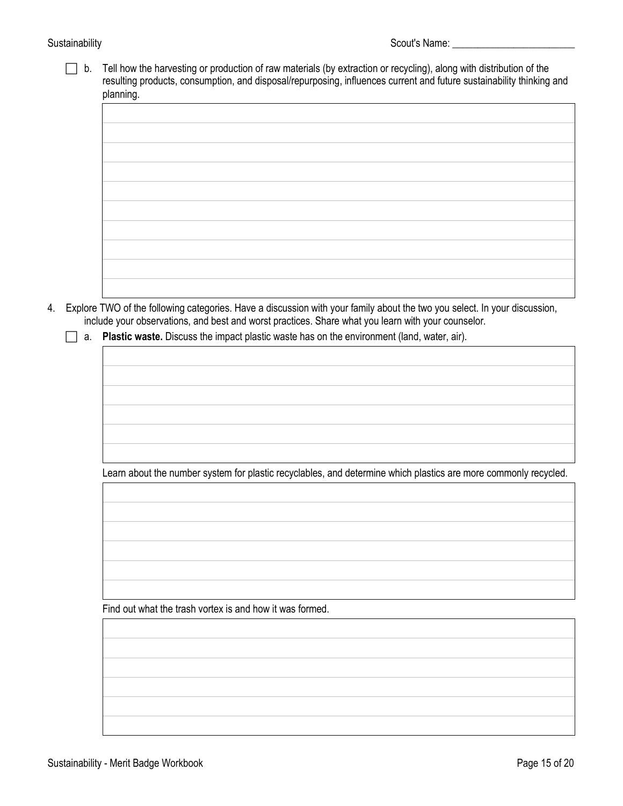$\Box$  b. Tell how the harvesting or production of raw materials (by extraction or recycling), along with distribution of the resulting products, consumption, and disposal/repurposing, influences current and future sustainability thinking and planning.

4. Explore TWO of the following categories. Have a discussion with your family about the two you select. In your discussion, include your observations, and best and worst practices. Share what you learn with your counselor.

a. **Plastic waste.** Discuss the impact plastic waste has on the environment (land, water, air).

Learn about the number system for plastic recyclables, and determine which plastics are more commonly recycled.

Find out what the trash vortex is and how it was formed.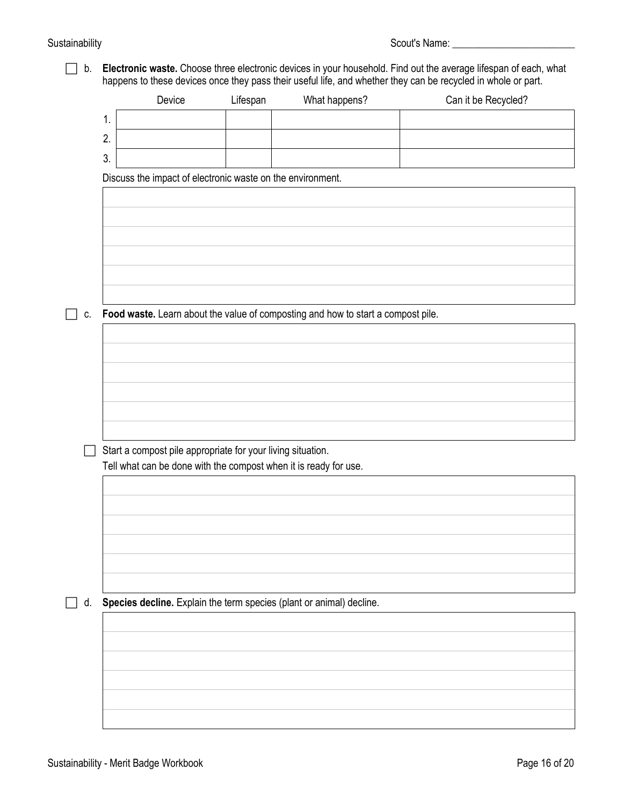b. **Electronic waste.** Choose three electronic devices in your household. Find out the average lifespan of each, what happens to these devices once they pass their useful life, and whether they can be recycled in whole or part.

|    | Device                                                      | Lifespan | What happens?                                                                    | Can it be Recycled? |  |  |  |
|----|-------------------------------------------------------------|----------|----------------------------------------------------------------------------------|---------------------|--|--|--|
| 1. |                                                             |          |                                                                                  |                     |  |  |  |
| 2. |                                                             |          |                                                                                  |                     |  |  |  |
| 3. |                                                             |          |                                                                                  |                     |  |  |  |
|    | Discuss the impact of electronic waste on the environment.  |          |                                                                                  |                     |  |  |  |
|    |                                                             |          |                                                                                  |                     |  |  |  |
|    |                                                             |          |                                                                                  |                     |  |  |  |
|    |                                                             |          |                                                                                  |                     |  |  |  |
|    |                                                             |          |                                                                                  |                     |  |  |  |
|    |                                                             |          |                                                                                  |                     |  |  |  |
| C. |                                                             |          | Food waste. Learn about the value of composting and how to start a compost pile. |                     |  |  |  |
|    |                                                             |          |                                                                                  |                     |  |  |  |
|    |                                                             |          |                                                                                  |                     |  |  |  |
|    |                                                             |          |                                                                                  |                     |  |  |  |
|    |                                                             |          |                                                                                  |                     |  |  |  |
|    |                                                             |          |                                                                                  |                     |  |  |  |
|    |                                                             |          |                                                                                  |                     |  |  |  |
|    | Start a compost pile appropriate for your living situation. |          |                                                                                  |                     |  |  |  |
|    |                                                             |          | Tell what can be done with the compost when it is ready for use.                 |                     |  |  |  |
|    |                                                             |          |                                                                                  |                     |  |  |  |
|    |                                                             |          |                                                                                  |                     |  |  |  |
|    |                                                             |          |                                                                                  |                     |  |  |  |
|    |                                                             |          |                                                                                  |                     |  |  |  |
|    |                                                             |          |                                                                                  |                     |  |  |  |
|    |                                                             |          |                                                                                  |                     |  |  |  |
|    |                                                             |          |                                                                                  |                     |  |  |  |
|    |                                                             |          | Species decline. Explain the term species (plant or animal) decline.             |                     |  |  |  |
|    |                                                             |          |                                                                                  |                     |  |  |  |
| d. |                                                             |          |                                                                                  |                     |  |  |  |
|    |                                                             |          |                                                                                  |                     |  |  |  |
|    |                                                             |          |                                                                                  |                     |  |  |  |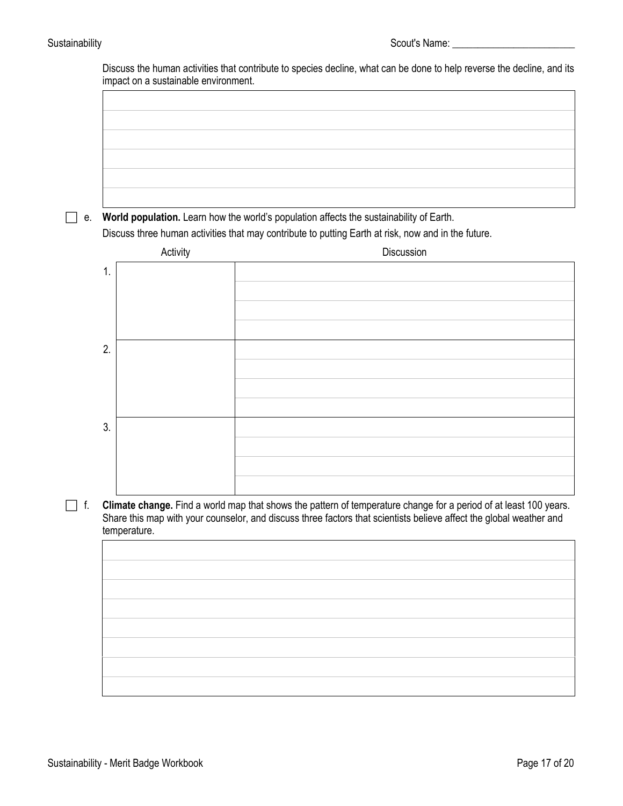Discuss the human activities that contribute to species decline, what can be done to help reverse the decline, and its impact on a sustainable environment.

e. **World population.** Learn how the world's population affects the sustainability of Earth.

Discuss three human activities that may contribute to putting Earth at risk, now and in the future.



 f. **Climate change.** Find a world map that shows the pattern of temperature change for a period of at least 100 years. Share this map with your counselor, and discuss three factors that scientists believe affect the global weather and temperature.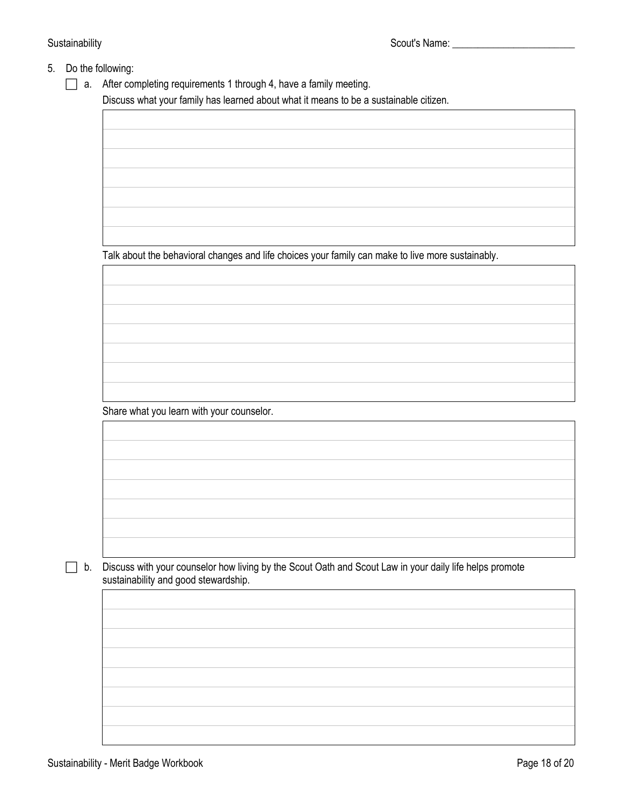## 5. Do the following:

a. After completing requirements 1 through 4, have a family meeting.

Discuss what your family has learned about what it means to be a sustainable citizen.

Talk about the behavioral changes and life choices your family can make to live more sustainably.

Share what you learn with your counselor.

 b. Discuss with your counselor how living by the Scout Oath and Scout Law in your daily life helps promote sustainability and good stewardship.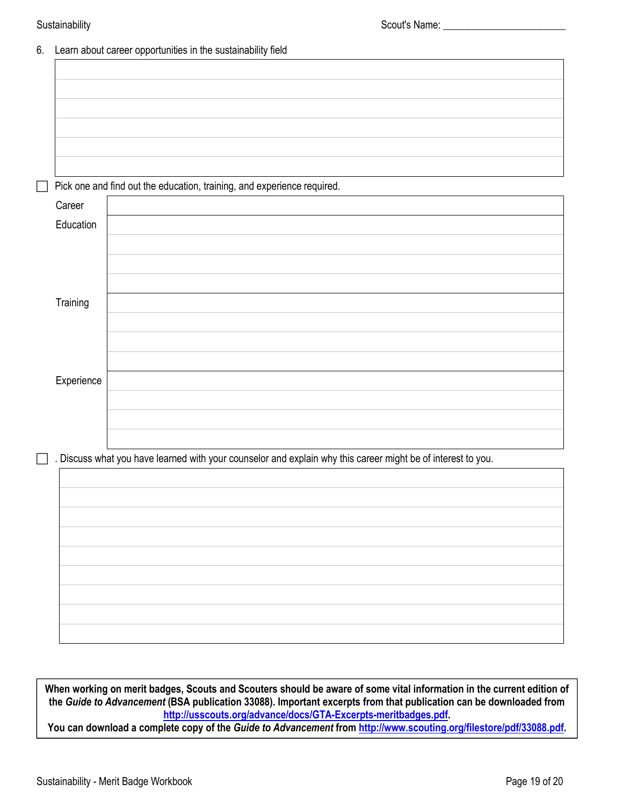### 6. Learn about career opportunities in the sustainability field

|            | Pick one and find out the education, training, and experience required.                                      |
|------------|--------------------------------------------------------------------------------------------------------------|
| Career     |                                                                                                              |
| Education  |                                                                                                              |
|            |                                                                                                              |
|            |                                                                                                              |
|            |                                                                                                              |
| Training   |                                                                                                              |
|            |                                                                                                              |
|            |                                                                                                              |
|            |                                                                                                              |
|            |                                                                                                              |
| Experience |                                                                                                              |
|            |                                                                                                              |
|            |                                                                                                              |
|            |                                                                                                              |
|            | . Discuss what you have learned with your counselor and explain why this career might be of interest to you. |
|            |                                                                                                              |
|            |                                                                                                              |
|            |                                                                                                              |
|            |                                                                                                              |
|            |                                                                                                              |
|            |                                                                                                              |
|            |                                                                                                              |
|            |                                                                                                              |
|            |                                                                                                              |
|            |                                                                                                              |

**When working on merit badges, Scouts and Scouters should be aware of some vital information in the current edition of the** *Guide to Advancement* **(BSA publication 33088). Important excerpts from that publication can be downloaded from <http://usscouts.org/advance/docs/GTA-Excerpts-meritbadges.pdf>.** 

**You can download a complete copy of the** *Guide to Advancement* **from <http://www.scouting.org/filestore/pdf/33088.pdf>.**